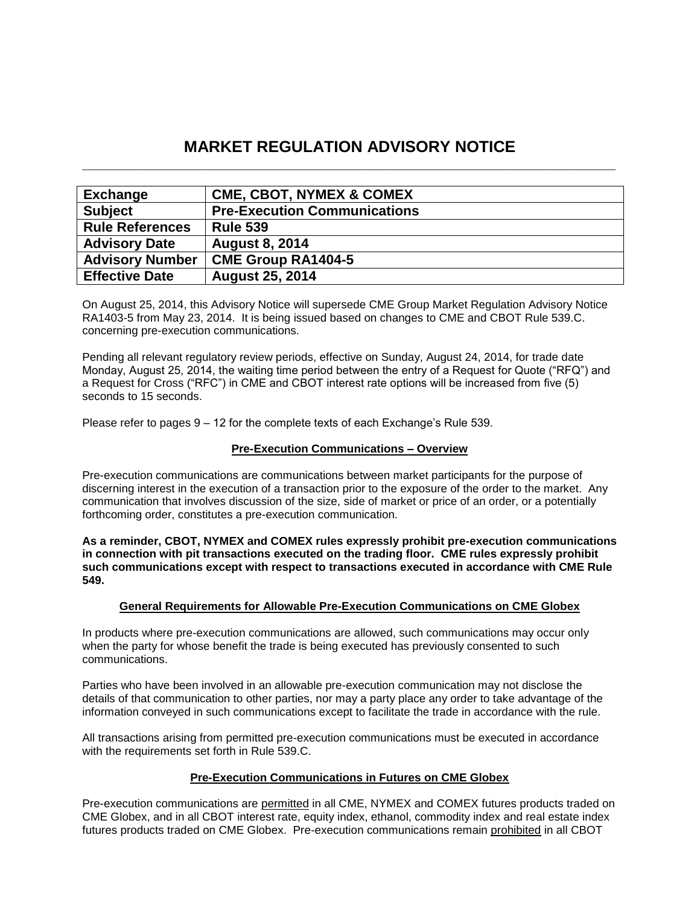# **MARKET REGULATION ADVISORY NOTICE \_\_\_\_\_\_\_\_\_\_\_\_\_\_\_\_\_\_\_\_\_\_\_\_\_\_\_\_\_\_\_\_\_\_\_\_\_\_\_\_\_\_\_\_\_\_\_\_\_\_\_\_\_\_\_\_\_\_\_\_\_\_\_\_\_\_\_\_\_\_**

| <b>Exchange</b>        | <b>CME, CBOT, NYMEX &amp; COMEX</b> |
|------------------------|-------------------------------------|
| <b>Subject</b>         | <b>Pre-Execution Communications</b> |
| <b>Rule References</b> | <b>Rule 539</b>                     |
| <b>Advisory Date</b>   | <b>August 8, 2014</b>               |
| <b>Advisory Number</b> | <b>CME Group RA1404-5</b>           |
| <b>Effective Date</b>  | <b>August 25, 2014</b>              |

On August 25, 2014, this Advisory Notice will supersede CME Group Market Regulation Advisory Notice RA1403-5 from May 23, 2014. It is being issued based on changes to CME and CBOT Rule 539.C. concerning pre-execution communications.

Pending all relevant regulatory review periods, effective on Sunday, August 24, 2014, for trade date Monday, August 25, 2014, the waiting time period between the entry of a Request for Quote ("RFQ") and a Request for Cross ("RFC") in CME and CBOT interest rate options will be increased from five (5) seconds to 15 seconds.

Please refer to pages 9 – 12 for the complete texts of each Exchange's Rule 539.

# **Pre-Execution Communications – Overview**

Pre-execution communications are communications between market participants for the purpose of discerning interest in the execution of a transaction prior to the exposure of the order to the market. Any communication that involves discussion of the size, side of market or price of an order, or a potentially forthcoming order, constitutes a pre-execution communication.

**As a reminder, CBOT, NYMEX and COMEX rules expressly prohibit pre-execution communications in connection with pit transactions executed on the trading floor. CME rules expressly prohibit such communications except with respect to transactions executed in accordance with CME Rule 549.** 

#### **General Requirements for Allowable Pre-Execution Communications on CME Globex**

In products where pre-execution communications are allowed, such communications may occur only when the party for whose benefit the trade is being executed has previously consented to such communications.

Parties who have been involved in an allowable pre-execution communication may not disclose the details of that communication to other parties, nor may a party place any order to take advantage of the information conveyed in such communications except to facilitate the trade in accordance with the rule.

All transactions arising from permitted pre-execution communications must be executed in accordance with the requirements set forth in Rule 539.C.

#### **Pre-Execution Communications in Futures on CME Globex**

Pre-execution communications are permitted in all CME, NYMEX and COMEX futures products traded on CME Globex, and in all CBOT interest rate, equity index, ethanol, commodity index and real estate index futures products traded on CME Globex. Pre-execution communications remain prohibited in all CBOT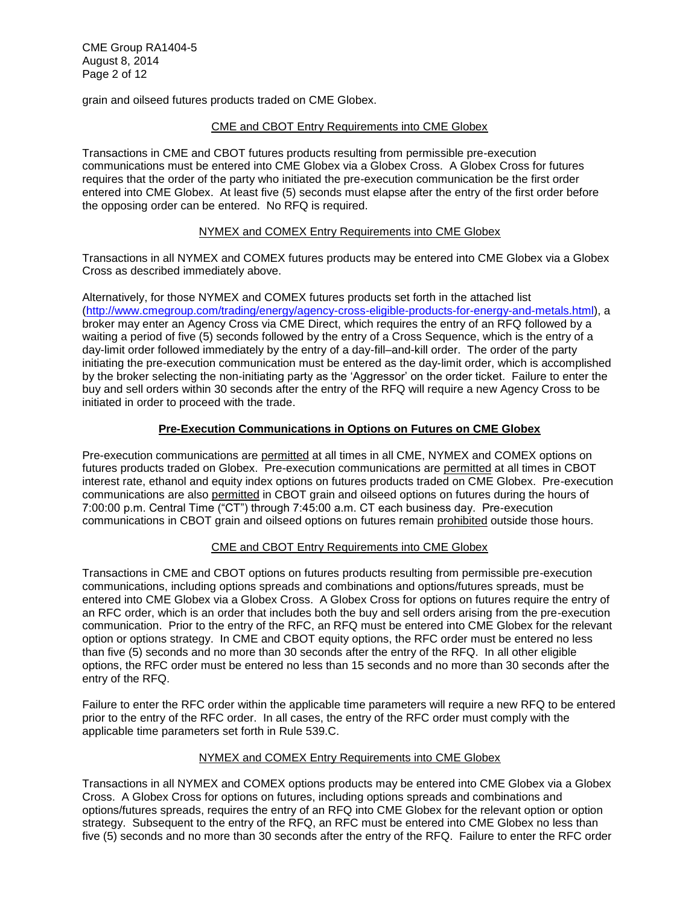grain and oilseed futures products traded on CME Globex.

## CME and CBOT Entry Requirements into CME Globex

Transactions in CME and CBOT futures products resulting from permissible pre-execution communications must be entered into CME Globex via a Globex Cross. A Globex Cross for futures requires that the order of the party who initiated the pre-execution communication be the first order entered into CME Globex. At least five (5) seconds must elapse after the entry of the first order before the opposing order can be entered. No RFQ is required.

## NYMEX and COMEX Entry Requirements into CME Globex

Transactions in all NYMEX and COMEX futures products may be entered into CME Globex via a Globex Cross as described immediately above.

Alternatively, for those NYMEX and COMEX futures products set forth in the attached list [\(http://www.cmegroup.com/trading/energy/agency-cross-eligible-products-for-energy-and-metals.html\)](http://www.cmegroup.com/trading/energy/agency-cross-eligible-products-for-energy-and-metals.html), a broker may enter an Agency Cross via CME Direct, which requires the entry of an RFQ followed by a waiting a period of five (5) seconds followed by the entry of a Cross Sequence, which is the entry of a day-limit order followed immediately by the entry of a day-fill–and-kill order. The order of the party initiating the pre-execution communication must be entered as the day-limit order, which is accomplished by the broker selecting the non-initiating party as the 'Aggressor' on the order ticket. Failure to enter the buy and sell orders within 30 seconds after the entry of the RFQ will require a new Agency Cross to be initiated in order to proceed with the trade.

## **Pre-Execution Communications in Options on Futures on CME Globex**

Pre-execution communications are permitted at all times in all CME, NYMEX and COMEX options on futures products traded on Globex. Pre-execution communications are permitted at all times in CBOT interest rate, ethanol and equity index options on futures products traded on CME Globex. Pre-execution communications are also permitted in CBOT grain and oilseed options on futures during the hours of 7:00:00 p.m. Central Time ("CT") through 7:45:00 a.m. CT each business day. Pre-execution communications in CBOT grain and oilseed options on futures remain prohibited outside those hours.

# CME and CBOT Entry Requirements into CME Globex

Transactions in CME and CBOT options on futures products resulting from permissible pre-execution communications, including options spreads and combinations and options/futures spreads, must be entered into CME Globex via a Globex Cross. A Globex Cross for options on futures require the entry of an RFC order, which is an order that includes both the buy and sell orders arising from the pre-execution communication. Prior to the entry of the RFC, an RFQ must be entered into CME Globex for the relevant option or options strategy. In CME and CBOT equity options, the RFC order must be entered no less than five (5) seconds and no more than 30 seconds after the entry of the RFQ. In all other eligible options, the RFC order must be entered no less than 15 seconds and no more than 30 seconds after the entry of the RFQ.

Failure to enter the RFC order within the applicable time parameters will require a new RFQ to be entered prior to the entry of the RFC order. In all cases, the entry of the RFC order must comply with the applicable time parameters set forth in Rule 539.C.

#### NYMEX and COMEX Entry Requirements into CME Globex

Transactions in all NYMEX and COMEX options products may be entered into CME Globex via a Globex Cross. A Globex Cross for options on futures, including options spreads and combinations and options/futures spreads, requires the entry of an RFQ into CME Globex for the relevant option or option strategy. Subsequent to the entry of the RFQ, an RFC must be entered into CME Globex no less than five (5) seconds and no more than 30 seconds after the entry of the RFQ. Failure to enter the RFC order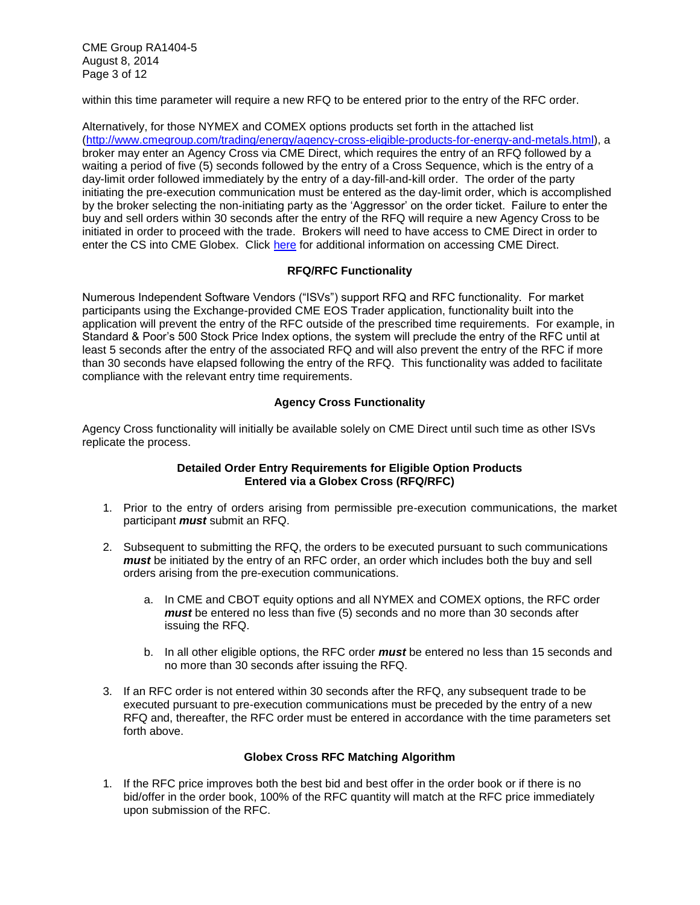CME Group RA1404-5 August 8, 2014 Page 3 of 12

within this time parameter will require a new RFQ to be entered prior to the entry of the RFC order.

Alternatively, for those NYMEX and COMEX options products set forth in the attached list [\(http://www.cmegroup.com/trading/energy/agency-cross-eligible-products-for-energy-and-metals.html\)](http://www.cmegroup.com/trading/energy/agency-cross-eligible-products-for-energy-and-metals.html), a broker may enter an Agency Cross via CME Direct, which requires the entry of an RFQ followed by a waiting a period of five (5) seconds followed by the entry of a Cross Sequence, which is the entry of a day-limit order followed immediately by the entry of a day-fill-and-kill order. The order of the party initiating the pre-execution communication must be entered as the day-limit order, which is accomplished by the broker selecting the non-initiating party as the 'Aggressor' on the order ticket. Failure to enter the buy and sell orders within 30 seconds after the entry of the RFQ will require a new Agency Cross to be initiated in order to proceed with the trade. Brokers will need to have access to CME Direct in order to enter the CS into CME Globex. Click [here](http://www.cmegroup.com/trading/cme-direct/) for additional information on accessing CME Direct.

# **RFQ/RFC Functionality**

Numerous Independent Software Vendors ("ISVs") support RFQ and RFC functionality. For market participants using the Exchange-provided CME EOS Trader application, functionality built into the application will prevent the entry of the RFC outside of the prescribed time requirements. For example, in Standard & Poor's 500 Stock Price Index options, the system will preclude the entry of the RFC until at least 5 seconds after the entry of the associated RFQ and will also prevent the entry of the RFC if more than 30 seconds have elapsed following the entry of the RFQ. This functionality was added to facilitate compliance with the relevant entry time requirements.

# **Agency Cross Functionality**

Agency Cross functionality will initially be available solely on CME Direct until such time as other ISVs replicate the process.

## **Detailed Order Entry Requirements for Eligible Option Products Entered via a Globex Cross (RFQ/RFC)**

- 1. Prior to the entry of orders arising from permissible pre-execution communications, the market participant *must* submit an RFQ.
- 2. Subsequent to submitting the RFQ, the orders to be executed pursuant to such communications *must* be initiated by the entry of an RFC order, an order which includes both the buy and sell orders arising from the pre-execution communications.
	- a. In CME and CBOT equity options and all NYMEX and COMEX options, the RFC order *must* be entered no less than five (5) seconds and no more than 30 seconds after issuing the RFQ.
	- b. In all other eligible options, the RFC order *must* be entered no less than 15 seconds and no more than 30 seconds after issuing the RFQ.
- 3. If an RFC order is not entered within 30 seconds after the RFQ, any subsequent trade to be executed pursuant to pre-execution communications must be preceded by the entry of a new RFQ and, thereafter, the RFC order must be entered in accordance with the time parameters set forth above.

# **Globex Cross RFC Matching Algorithm**

1. If the RFC price improves both the best bid and best offer in the order book or if there is no bid/offer in the order book, 100% of the RFC quantity will match at the RFC price immediately upon submission of the RFC.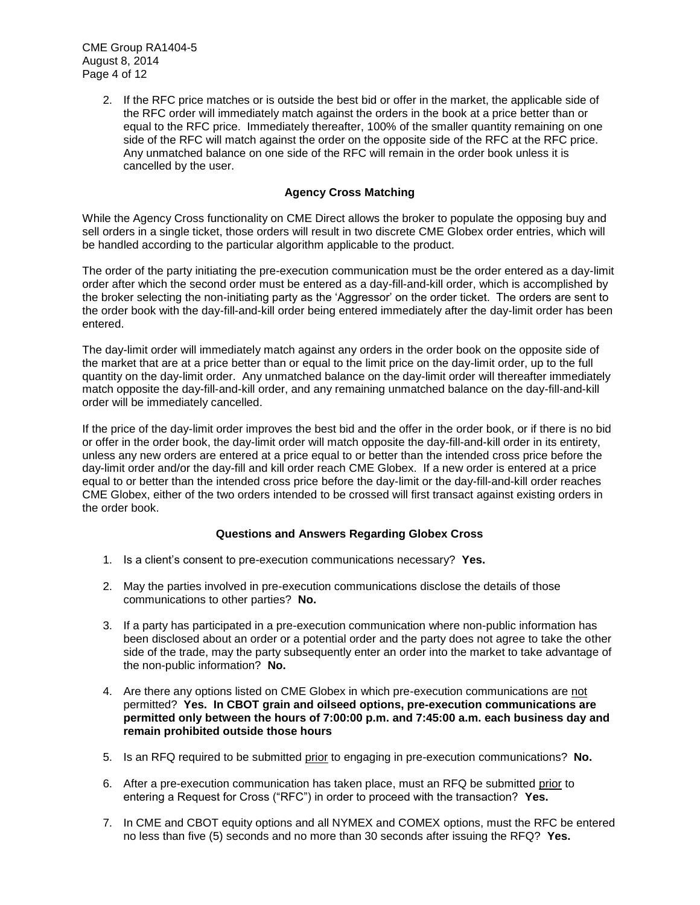CME Group RA1404-5 August 8, 2014 Page 4 of 12

> 2. If the RFC price matches or is outside the best bid or offer in the market, the applicable side of the RFC order will immediately match against the orders in the book at a price better than or equal to the RFC price. Immediately thereafter, 100% of the smaller quantity remaining on one side of the RFC will match against the order on the opposite side of the RFC at the RFC price. Any unmatched balance on one side of the RFC will remain in the order book unless it is cancelled by the user.

## **Agency Cross Matching**

While the Agency Cross functionality on CME Direct allows the broker to populate the opposing buy and sell orders in a single ticket, those orders will result in two discrete CME Globex order entries, which will be handled according to the particular algorithm applicable to the product.

The order of the party initiating the pre-execution communication must be the order entered as a day-limit order after which the second order must be entered as a day-fill-and-kill order, which is accomplished by the broker selecting the non-initiating party as the 'Aggressor' on the order ticket. The orders are sent to the order book with the day-fill-and-kill order being entered immediately after the day-limit order has been entered.

The day-limit order will immediately match against any orders in the order book on the opposite side of the market that are at a price better than or equal to the limit price on the day-limit order, up to the full quantity on the day-limit order. Any unmatched balance on the day-limit order will thereafter immediately match opposite the day-fill-and-kill order, and any remaining unmatched balance on the day-fill-and-kill order will be immediately cancelled.

If the price of the day-limit order improves the best bid and the offer in the order book, or if there is no bid or offer in the order book, the day-limit order will match opposite the day-fill-and-kill order in its entirety, unless any new orders are entered at a price equal to or better than the intended cross price before the day-limit order and/or the day-fill and kill order reach CME Globex. If a new order is entered at a price equal to or better than the intended cross price before the day-limit or the day-fill-and-kill order reaches CME Globex, either of the two orders intended to be crossed will first transact against existing orders in the order book.

#### **Questions and Answers Regarding Globex Cross**

- 1. Is a client's consent to pre-execution communications necessary? **Yes.**
- 2. May the parties involved in pre-execution communications disclose the details of those communications to other parties? **No.**
- 3. If a party has participated in a pre-execution communication where non-public information has been disclosed about an order or a potential order and the party does not agree to take the other side of the trade, may the party subsequently enter an order into the market to take advantage of the non-public information? **No.**
- 4. Are there any options listed on CME Globex in which pre-execution communications are not permitted? **Yes. In CBOT grain and oilseed options, pre-execution communications are permitted only between the hours of 7:00:00 p.m. and 7:45:00 a.m. each business day and remain prohibited outside those hours**
- 5. Is an RFQ required to be submitted prior to engaging in pre-execution communications? **No.**
- 6. After a pre-execution communication has taken place, must an RFQ be submitted prior to entering a Request for Cross ("RFC") in order to proceed with the transaction? **Yes.**
- 7. In CME and CBOT equity options and all NYMEX and COMEX options, must the RFC be entered no less than five (5) seconds and no more than 30 seconds after issuing the RFQ? **Yes.**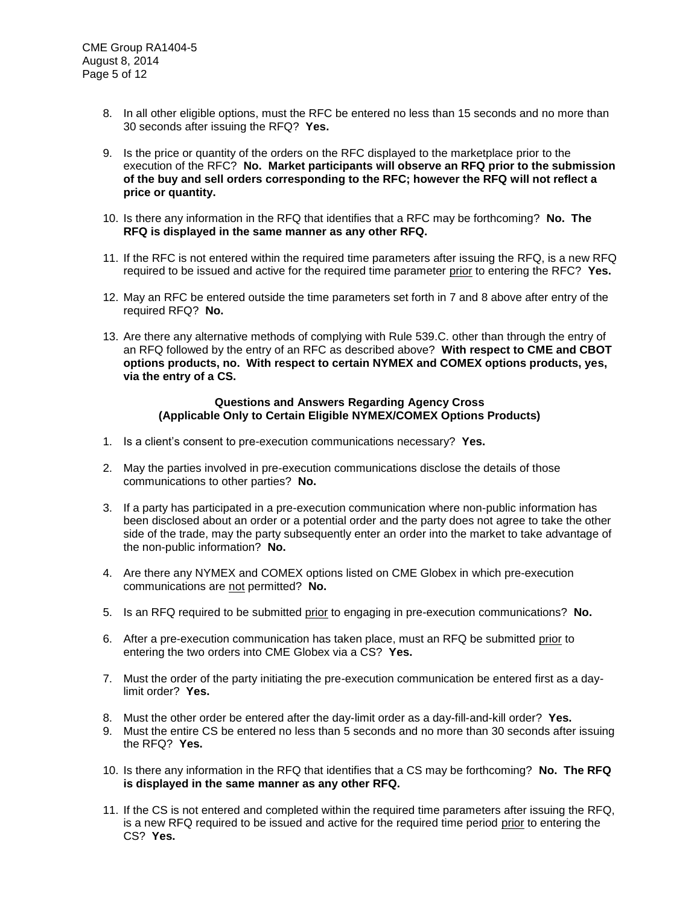- 8. In all other eligible options, must the RFC be entered no less than 15 seconds and no more than 30 seconds after issuing the RFQ? **Yes.**
- 9. Is the price or quantity of the orders on the RFC displayed to the marketplace prior to the execution of the RFC? **No. Market participants will observe an RFQ prior to the submission of the buy and sell orders corresponding to the RFC; however the RFQ will not reflect a price or quantity.**
- 10. Is there any information in the RFQ that identifies that a RFC may be forthcoming? **No. The RFQ is displayed in the same manner as any other RFQ.**
- 11. If the RFC is not entered within the required time parameters after issuing the RFQ, is a new RFQ required to be issued and active for the required time parameter prior to entering the RFC? **Yes.**
- 12. May an RFC be entered outside the time parameters set forth in 7 and 8 above after entry of the required RFQ? **No.**
- 13. Are there any alternative methods of complying with Rule 539.C. other than through the entry of an RFQ followed by the entry of an RFC as described above? **With respect to CME and CBOT options products, no. With respect to certain NYMEX and COMEX options products, yes, via the entry of a CS.**

#### **Questions and Answers Regarding Agency Cross (Applicable Only to Certain Eligible NYMEX/COMEX Options Products)**

- 1. Is a client's consent to pre-execution communications necessary? **Yes.**
- 2. May the parties involved in pre-execution communications disclose the details of those communications to other parties? **No.**
- 3. If a party has participated in a pre-execution communication where non-public information has been disclosed about an order or a potential order and the party does not agree to take the other side of the trade, may the party subsequently enter an order into the market to take advantage of the non-public information? **No.**
- 4. Are there any NYMEX and COMEX options listed on CME Globex in which pre-execution communications are not permitted? **No.**
- 5. Is an RFQ required to be submitted prior to engaging in pre-execution communications? **No.**
- 6. After a pre-execution communication has taken place, must an RFQ be submitted prior to entering the two orders into CME Globex via a CS? **Yes.**
- 7. Must the order of the party initiating the pre-execution communication be entered first as a daylimit order? **Yes.**
- 8. Must the other order be entered after the day-limit order as a day-fill-and-kill order? **Yes.**
- 9. Must the entire CS be entered no less than 5 seconds and no more than 30 seconds after issuing the RFQ? **Yes.**
- 10. Is there any information in the RFQ that identifies that a CS may be forthcoming? **No. The RFQ is displayed in the same manner as any other RFQ.**
- 11. If the CS is not entered and completed within the required time parameters after issuing the RFQ, is a new RFQ required to be issued and active for the required time period prior to entering the CS? **Yes.**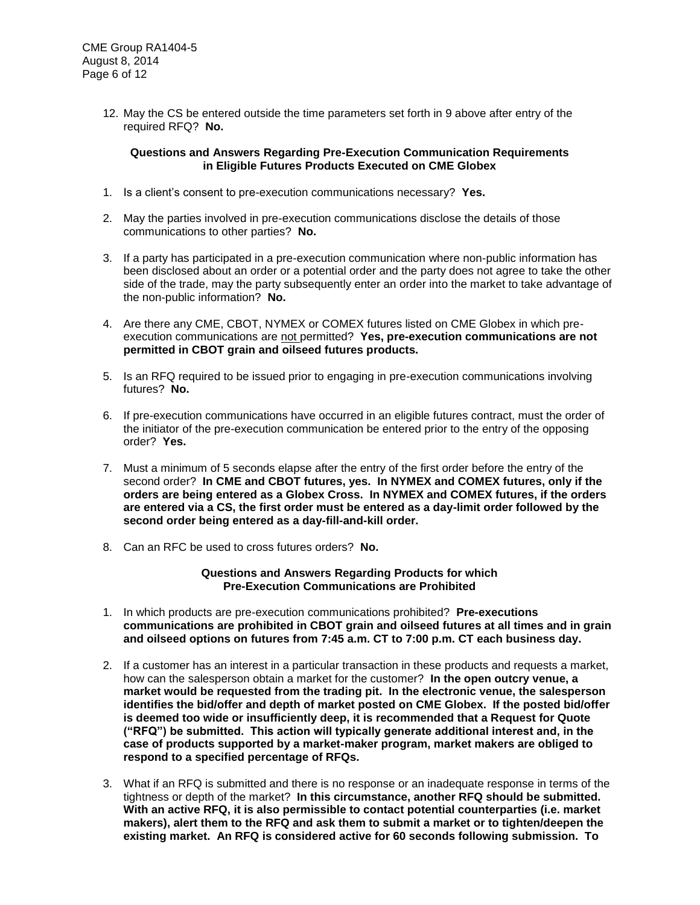12. May the CS be entered outside the time parameters set forth in 9 above after entry of the required RFQ? **No.**

#### **Questions and Answers Regarding Pre-Execution Communication Requirements in Eligible Futures Products Executed on CME Globex**

- 1. Is a client's consent to pre-execution communications necessary? **Yes.**
- 2. May the parties involved in pre-execution communications disclose the details of those communications to other parties? **No.**
- 3. If a party has participated in a pre-execution communication where non-public information has been disclosed about an order or a potential order and the party does not agree to take the other side of the trade, may the party subsequently enter an order into the market to take advantage of the non-public information? **No.**
- 4. Are there any CME, CBOT, NYMEX or COMEX futures listed on CME Globex in which preexecution communications are not permitted? **Yes, pre-execution communications are not permitted in CBOT grain and oilseed futures products.**
- 5. Is an RFQ required to be issued prior to engaging in pre-execution communications involving futures? **No.**
- 6. If pre-execution communications have occurred in an eligible futures contract, must the order of the initiator of the pre-execution communication be entered prior to the entry of the opposing order? **Yes.**
- 7. Must a minimum of 5 seconds elapse after the entry of the first order before the entry of the second order? **In CME and CBOT futures, yes. In NYMEX and COMEX futures, only if the orders are being entered as a Globex Cross. In NYMEX and COMEX futures, if the orders are entered via a CS, the first order must be entered as a day-limit order followed by the second order being entered as a day-fill-and-kill order.**
- 8. Can an RFC be used to cross futures orders? **No.**

#### **Questions and Answers Regarding Products for which Pre-Execution Communications are Prohibited**

- 1. In which products are pre-execution communications prohibited? **Pre-executions communications are prohibited in CBOT grain and oilseed futures at all times and in grain and oilseed options on futures from 7:45 a.m. CT to 7:00 p.m. CT each business day.**
- 2. If a customer has an interest in a particular transaction in these products and requests a market, how can the salesperson obtain a market for the customer? **In the open outcry venue, a market would be requested from the trading pit. In the electronic venue, the salesperson identifies the bid/offer and depth of market posted on CME Globex. If the posted bid/offer is deemed too wide or insufficiently deep, it is recommended that a Request for Quote ("RFQ") be submitted. This action will typically generate additional interest and, in the case of products supported by a market-maker program, market makers are obliged to respond to a specified percentage of RFQs.**
- 3. What if an RFQ is submitted and there is no response or an inadequate response in terms of the tightness or depth of the market? **In this circumstance, another RFQ should be submitted. With an active RFQ, it is also permissible to contact potential counterparties (i.e. market makers), alert them to the RFQ and ask them to submit a market or to tighten/deepen the existing market. An RFQ is considered active for 60 seconds following submission. To**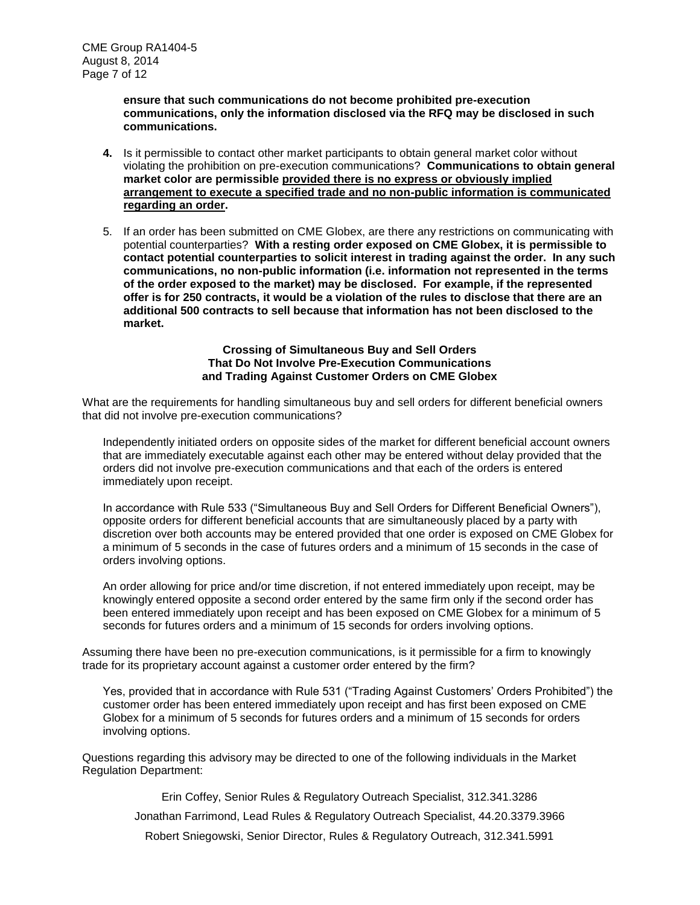**ensure that such communications do not become prohibited pre-execution communications, only the information disclosed via the RFQ may be disclosed in such communications.**

- **4.** Is it permissible to contact other market participants to obtain general market color without violating the prohibition on pre-execution communications? **Communications to obtain general market color are permissible provided there is no express or obviously implied arrangement to execute a specified trade and no non-public information is communicated regarding an order.**
- 5. If an order has been submitted on CME Globex, are there any restrictions on communicating with potential counterparties? **With a resting order exposed on CME Globex, it is permissible to contact potential counterparties to solicit interest in trading against the order. In any such communications, no non-public information (i.e. information not represented in the terms of the order exposed to the market) may be disclosed. For example, if the represented offer is for 250 contracts, it would be a violation of the rules to disclose that there are an additional 500 contracts to sell because that information has not been disclosed to the market.**

#### **Crossing of Simultaneous Buy and Sell Orders That Do Not Involve Pre-Execution Communications and Trading Against Customer Orders on CME Globex**

What are the requirements for handling simultaneous buy and sell orders for different beneficial owners that did not involve pre-execution communications?

Independently initiated orders on opposite sides of the market for different beneficial account owners that are immediately executable against each other may be entered without delay provided that the orders did not involve pre-execution communications and that each of the orders is entered immediately upon receipt.

In accordance with Rule 533 ("Simultaneous Buy and Sell Orders for Different Beneficial Owners"), opposite orders for different beneficial accounts that are simultaneously placed by a party with discretion over both accounts may be entered provided that one order is exposed on CME Globex for a minimum of 5 seconds in the case of futures orders and a minimum of 15 seconds in the case of orders involving options.

An order allowing for price and/or time discretion, if not entered immediately upon receipt, may be knowingly entered opposite a second order entered by the same firm only if the second order has been entered immediately upon receipt and has been exposed on CME Globex for a minimum of 5 seconds for futures orders and a minimum of 15 seconds for orders involving options.

Assuming there have been no pre-execution communications, is it permissible for a firm to knowingly trade for its proprietary account against a customer order entered by the firm?

Yes, provided that in accordance with Rule 531 ("Trading Against Customers' Orders Prohibited") the customer order has been entered immediately upon receipt and has first been exposed on CME Globex for a minimum of 5 seconds for futures orders and a minimum of 15 seconds for orders involving options.

Questions regarding this advisory may be directed to one of the following individuals in the Market Regulation Department:

Erin Coffey, Senior Rules & Regulatory Outreach Specialist, 312.341.3286

Jonathan Farrimond, Lead Rules & Regulatory Outreach Specialist, 44.20.3379.3966

Robert Sniegowski, Senior Director, Rules & Regulatory Outreach, 312.341.5991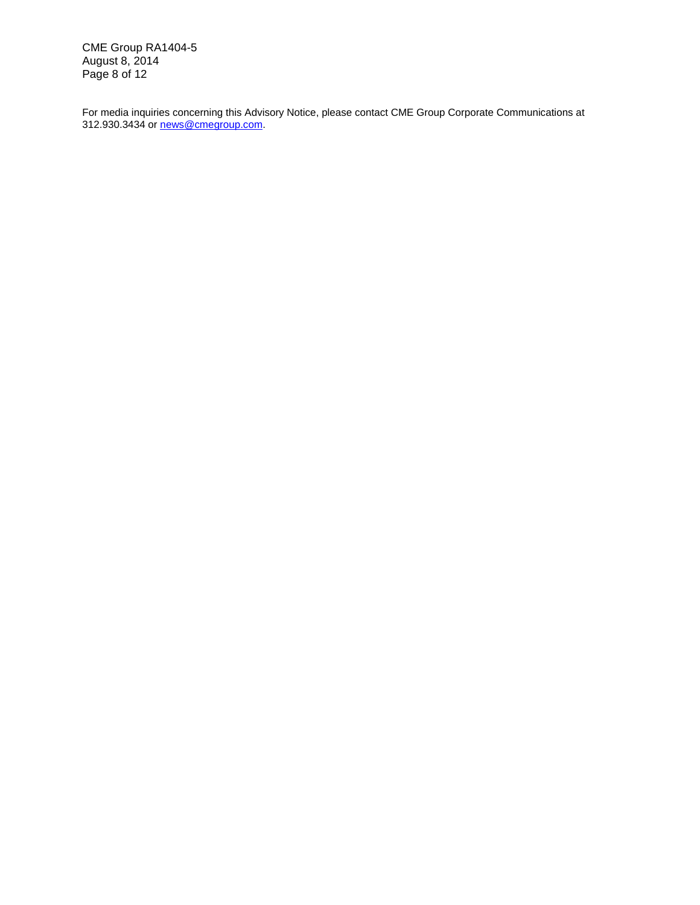CME Group RA1404-5 August 8, 2014 Page 8 of 12

For media inquiries concerning this Advisory Notice, please contact CME Group Corporate Communications at 312.930.3434 or [news@cmegroup.com.](mailto:news@cmegroup.com)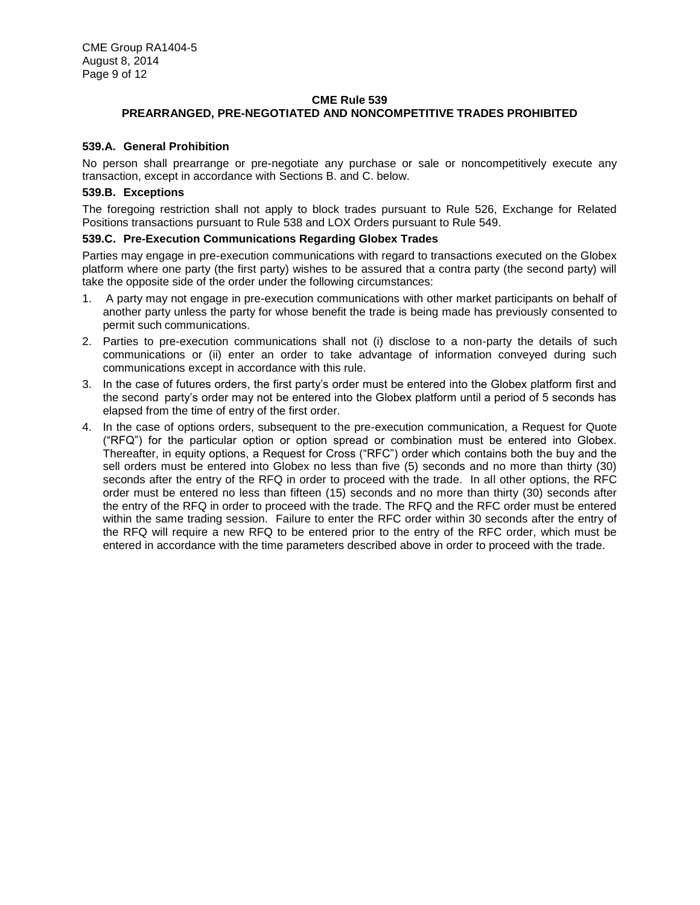## **CME Rule 539 PREARRANGED, PRE-NEGOTIATED AND NONCOMPETITIVE TRADES PROHIBITED**

#### **539.A. General Prohibition**

No person shall prearrange or pre-negotiate any purchase or sale or noncompetitively execute any transaction, except in accordance with Sections B. and C. below.

#### **539.B. Exceptions**

The foregoing restriction shall not apply to block trades pursuant to Rule 526, Exchange for Related Positions transactions pursuant to Rule 538 and LOX Orders pursuant to Rule 549.

#### **539.C. Pre-Execution Communications Regarding Globex Trades**

Parties may engage in pre-execution communications with regard to transactions executed on the Globex platform where one party (the first party) wishes to be assured that a contra party (the second party) will take the opposite side of the order under the following circumstances:

- 1. A party may not engage in pre-execution communications with other market participants on behalf of another party unless the party for whose benefit the trade is being made has previously consented to permit such communications.
- 2. Parties to pre-execution communications shall not (i) disclose to a non-party the details of such communications or (ii) enter an order to take advantage of information conveyed during such communications except in accordance with this rule.
- 3. In the case of futures orders, the first party's order must be entered into the Globex platform first and the second party's order may not be entered into the Globex platform until a period of 5 seconds has elapsed from the time of entry of the first order.
- 4. In the case of options orders, subsequent to the pre-execution communication, a Request for Quote ("RFQ") for the particular option or option spread or combination must be entered into Globex. Thereafter, in equity options, a Request for Cross ("RFC") order which contains both the buy and the sell orders must be entered into Globex no less than five (5) seconds and no more than thirty (30) seconds after the entry of the RFQ in order to proceed with the trade. In all other options, the RFC order must be entered no less than fifteen (15) seconds and no more than thirty (30) seconds after the entry of the RFQ in order to proceed with the trade. The RFQ and the RFC order must be entered within the same trading session. Failure to enter the RFC order within 30 seconds after the entry of the RFQ will require a new RFQ to be entered prior to the entry of the RFC order, which must be entered in accordance with the time parameters described above in order to proceed with the trade.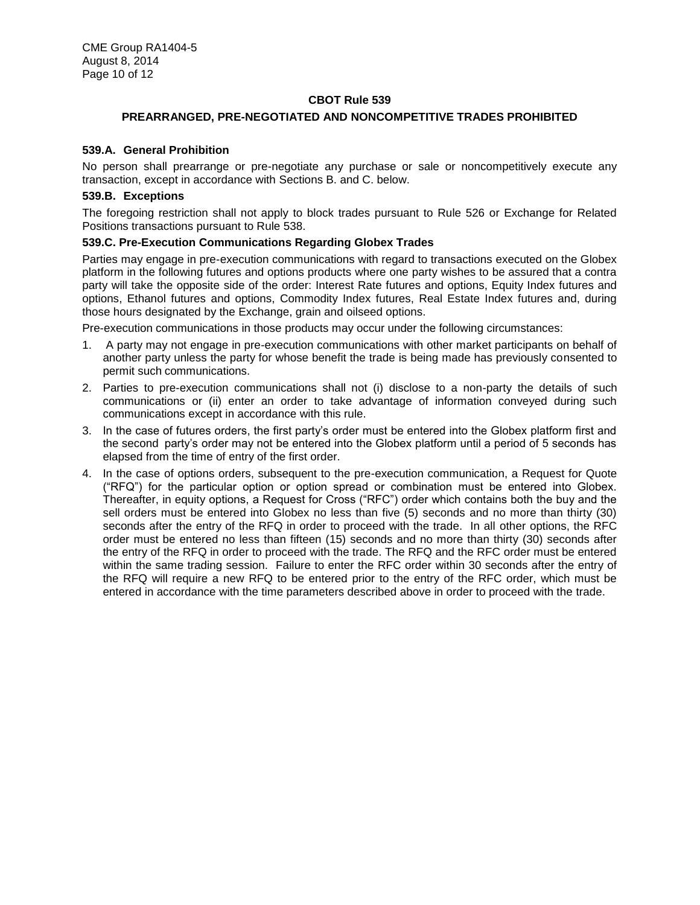#### **CBOT Rule 539**

#### **PREARRANGED, PRE-NEGOTIATED AND NONCOMPETITIVE TRADES PROHIBITED**

#### **539.A. General Prohibition**

No person shall prearrange or pre-negotiate any purchase or sale or noncompetitively execute any transaction, except in accordance with Sections B. and C. below.

#### **539.B. Exceptions**

The foregoing restriction shall not apply to block trades pursuant to Rule 526 or Exchange for Related Positions transactions pursuant to Rule 538.

#### **539.C. Pre-Execution Communications Regarding Globex Trades**

Parties may engage in pre-execution communications with regard to transactions executed on the Globex platform in the following futures and options products where one party wishes to be assured that a contra party will take the opposite side of the order: Interest Rate futures and options, Equity Index futures and options, Ethanol futures and options, Commodity Index futures, Real Estate Index futures and, during those hours designated by the Exchange, grain and oilseed options.

Pre-execution communications in those products may occur under the following circumstances:

- 1. A party may not engage in pre-execution communications with other market participants on behalf of another party unless the party for whose benefit the trade is being made has previously consented to permit such communications.
- 2. Parties to pre-execution communications shall not (i) disclose to a non-party the details of such communications or (ii) enter an order to take advantage of information conveyed during such communications except in accordance with this rule.
- 3. In the case of futures orders, the first party's order must be entered into the Globex platform first and the second party's order may not be entered into the Globex platform until a period of 5 seconds has elapsed from the time of entry of the first order.
- 4. In the case of options orders, subsequent to the pre-execution communication, a Request for Quote ("RFQ") for the particular option or option spread or combination must be entered into Globex. Thereafter, in equity options, a Request for Cross ("RFC") order which contains both the buy and the sell orders must be entered into Globex no less than five (5) seconds and no more than thirty (30) seconds after the entry of the RFQ in order to proceed with the trade. In all other options, the RFC order must be entered no less than fifteen (15) seconds and no more than thirty (30) seconds after the entry of the RFQ in order to proceed with the trade. The RFQ and the RFC order must be entered within the same trading session. Failure to enter the RFC order within 30 seconds after the entry of the RFQ will require a new RFQ to be entered prior to the entry of the RFC order, which must be entered in accordance with the time parameters described above in order to proceed with the trade.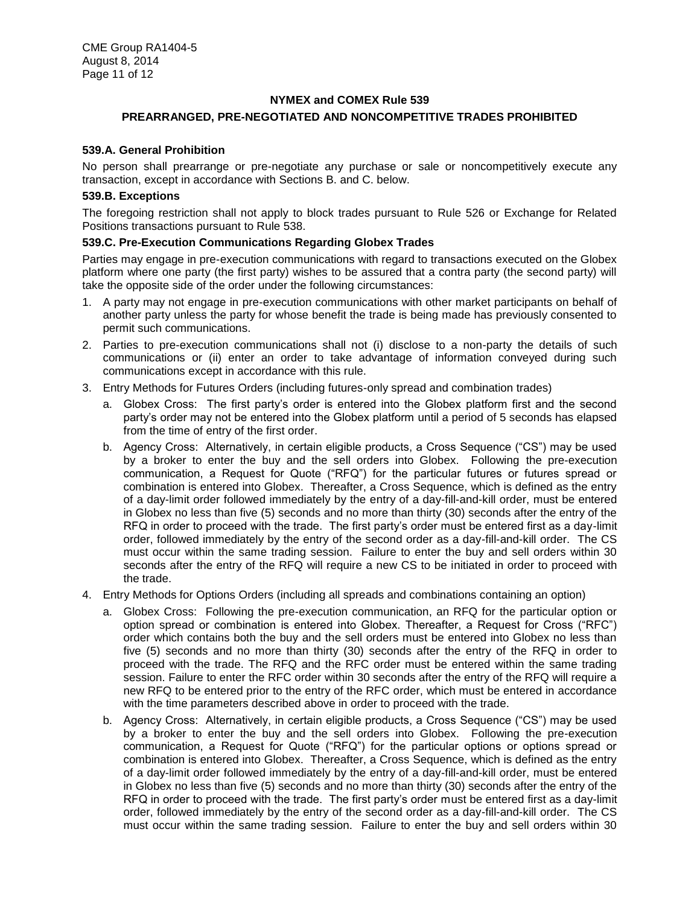#### **NYMEX and COMEX Rule 539**

## **PREARRANGED, PRE-NEGOTIATED AND NONCOMPETITIVE TRADES PROHIBITED**

#### **539.A. General Prohibition**

No person shall prearrange or pre-negotiate any purchase or sale or noncompetitively execute any transaction, except in accordance with Sections B. and C. below.

#### **539.B. Exceptions**

The foregoing restriction shall not apply to block trades pursuant to Rule 526 or Exchange for Related Positions transactions pursuant to Rule 538.

#### **539.C. Pre-Execution Communications Regarding Globex Trades**

Parties may engage in pre-execution communications with regard to transactions executed on the Globex platform where one party (the first party) wishes to be assured that a contra party (the second party) will take the opposite side of the order under the following circumstances:

- 1. A party may not engage in pre-execution communications with other market participants on behalf of another party unless the party for whose benefit the trade is being made has previously consented to permit such communications.
- 2. Parties to pre-execution communications shall not (i) disclose to a non-party the details of such communications or (ii) enter an order to take advantage of information conveyed during such communications except in accordance with this rule.
- 3. Entry Methods for Futures Orders (including futures-only spread and combination trades)
	- a. Globex Cross: The first party's order is entered into the Globex platform first and the second party's order may not be entered into the Globex platform until a period of 5 seconds has elapsed from the time of entry of the first order.
	- b. Agency Cross: Alternatively, in certain eligible products, a Cross Sequence ("CS") may be used by a broker to enter the buy and the sell orders into Globex. Following the pre-execution communication, a Request for Quote ("RFQ") for the particular futures or futures spread or combination is entered into Globex. Thereafter, a Cross Sequence, which is defined as the entry of a day-limit order followed immediately by the entry of a day-fill-and-kill order, must be entered in Globex no less than five (5) seconds and no more than thirty (30) seconds after the entry of the RFQ in order to proceed with the trade. The first party's order must be entered first as a day-limit order, followed immediately by the entry of the second order as a day-fill-and-kill order. The CS must occur within the same trading session. Failure to enter the buy and sell orders within 30 seconds after the entry of the RFQ will require a new CS to be initiated in order to proceed with the trade.
- 4. Entry Methods for Options Orders (including all spreads and combinations containing an option)
	- a. Globex Cross: Following the pre-execution communication, an RFQ for the particular option or option spread or combination is entered into Globex. Thereafter, a Request for Cross ("RFC") order which contains both the buy and the sell orders must be entered into Globex no less than five (5) seconds and no more than thirty (30) seconds after the entry of the RFQ in order to proceed with the trade. The RFQ and the RFC order must be entered within the same trading session. Failure to enter the RFC order within 30 seconds after the entry of the RFQ will require a new RFQ to be entered prior to the entry of the RFC order, which must be entered in accordance with the time parameters described above in order to proceed with the trade.
	- b. Agency Cross: Alternatively, in certain eligible products, a Cross Sequence ("CS") may be used by a broker to enter the buy and the sell orders into Globex. Following the pre-execution communication, a Request for Quote ("RFQ") for the particular options or options spread or combination is entered into Globex. Thereafter, a Cross Sequence, which is defined as the entry of a day-limit order followed immediately by the entry of a day-fill-and-kill order, must be entered in Globex no less than five (5) seconds and no more than thirty (30) seconds after the entry of the RFQ in order to proceed with the trade. The first party's order must be entered first as a day-limit order, followed immediately by the entry of the second order as a day-fill-and-kill order. The CS must occur within the same trading session. Failure to enter the buy and sell orders within 30